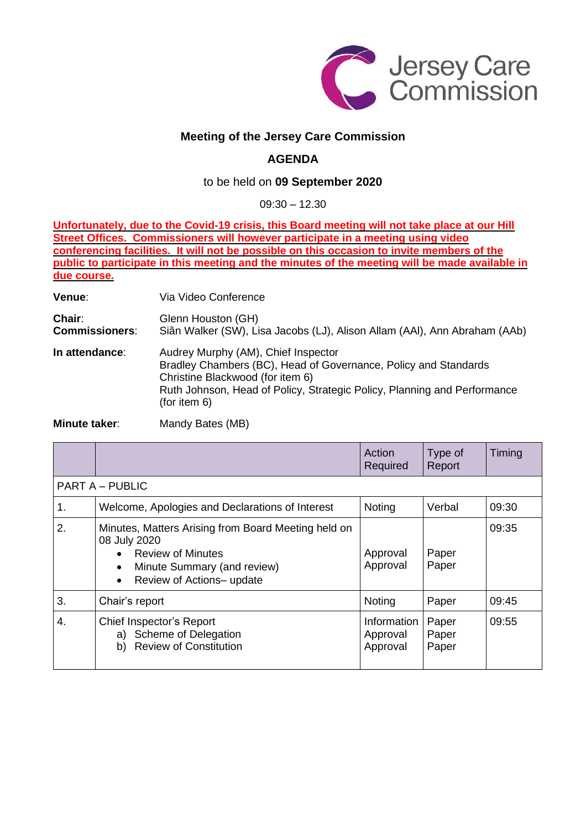

## **Meeting of the Jersey Care Commission**

## **AGENDA**

## to be held on **09 September 2020**

09:30 – 12.30

**Unfortunately, due to the Covid-19 crisis, this Board meeting will not take place at our Hill Street Offices. Commissioners will however participate in a meeting using video conferencing facilities. It will not be possible on this occasion to invite members of the public to participate in this meeting and the minutes of the meeting will be made available in due course.**

**Venue**: Via Video Conference **Chair:** Glenn Houston (GH)<br>**Commissioners:** Siân Walker (SW), Li Siân Walker (SW), Lisa Jacobs (LJ), Alison Allam (AAl), Ann Abraham (AAb) **In attendance**: Audrey Murphy (AM), Chief Inspector Bradley Chambers (BC), Head of Governance, Policy and Standards Christine Blackwood (for item 6) Ruth Johnson, Head of Policy, Strategic Policy, Planning and Performance (for item 6)

**Minute taker:** Mandy Bates (MB)

|                        |                                                                                                                                                                          | Action<br>Required                  | Type of<br>Report       | Timing |  |  |  |
|------------------------|--------------------------------------------------------------------------------------------------------------------------------------------------------------------------|-------------------------------------|-------------------------|--------|--|--|--|
| <b>PART A - PUBLIC</b> |                                                                                                                                                                          |                                     |                         |        |  |  |  |
| 1.                     | Welcome, Apologies and Declarations of Interest                                                                                                                          | Noting                              | Verbal                  | 09:30  |  |  |  |
| 2.                     | Minutes, Matters Arising from Board Meeting held on<br>08 July 2020<br><b>Review of Minutes</b><br>Minute Summary (and review)<br>Review of Actions- update<br>$\bullet$ | Approval<br>Approval                | Paper<br>Paper          | 09:35  |  |  |  |
| 3.                     | Chair's report                                                                                                                                                           | Noting                              | Paper                   | 09:45  |  |  |  |
| 4.                     | Chief Inspector's Report<br>a) Scheme of Delegation<br><b>Review of Constitution</b><br>b)                                                                               | Information<br>Approval<br>Approval | Paper<br>Paper<br>Paper | 09:55  |  |  |  |